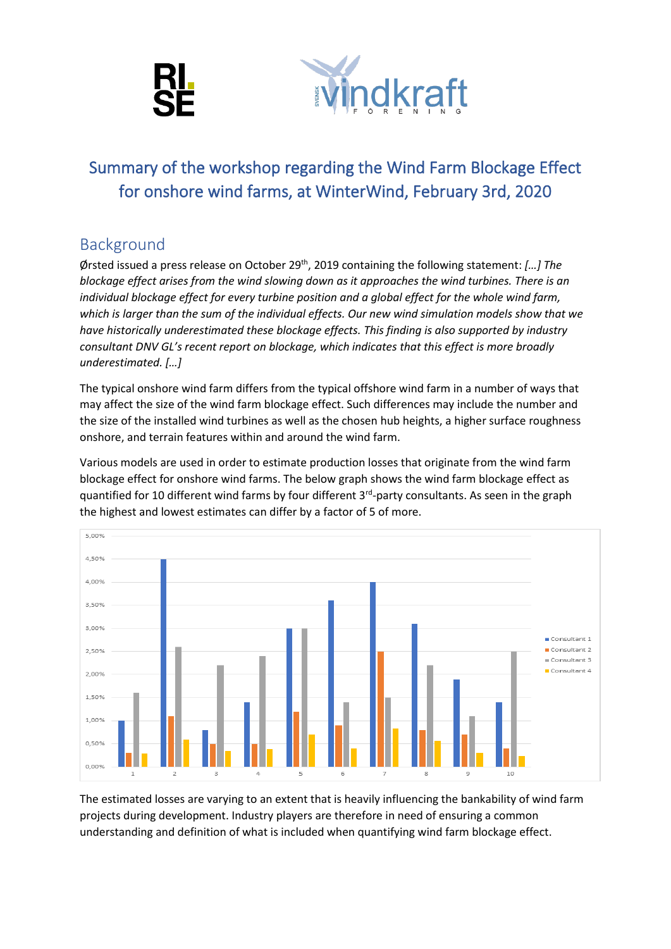



# Summary of the workshop regarding the Wind Farm Blockage Effect for onshore wind farms, at WinterWind, February 3rd, 2020

# Background

Ørsted issued a press release on October 29<sup>th</sup>, 2019 containing the following statement: [...] The *blockage effect arises from the wind slowing down as it approaches the wind turbines. There is an individual blockage effect for every turbine position and a global effect for the whole wind farm, which is larger than the sum of the individual effects. Our new wind simulation models show that we have historically underestimated these blockage effects. This finding is also supported by industry consultant DNV GL's recent report on blockage, which indicates that this effect is more broadly underestimated. […]*

The typical onshore wind farm differs from the typical offshore wind farm in a number of ways that may affect the size of the wind farm blockage effect. Such differences may include the number and the size of the installed wind turbines as well as the chosen hub heights, a higher surface roughness onshore, and terrain features within and around the wind farm.

Various models are used in order to estimate production losses that originate from the wind farm blockage effect for onshore wind farms. The below graph shows the wind farm blockage effect as quantified for 10 different wind farms by four different 3<sup>rd</sup>-party consultants. As seen in the graph the highest and lowest estimates can differ by a factor of 5 of more.



The estimated losses are varying to an extent that is heavily influencing the bankability of wind farm projects during development. Industry players are therefore in need of ensuring a common understanding and definition of what is included when quantifying wind farm blockage effect.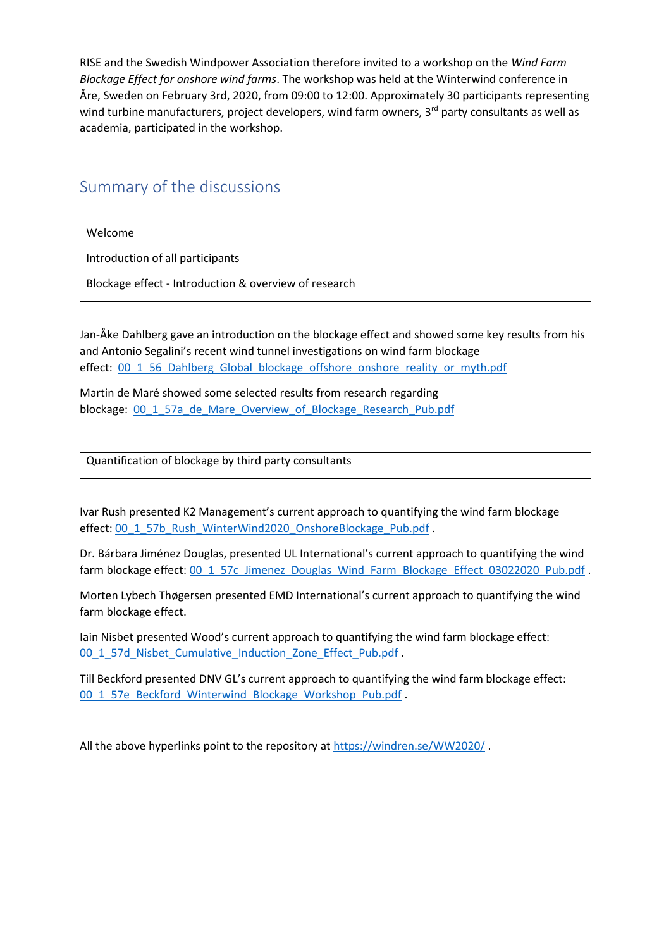RISE and the Swedish Windpower Association therefore invited to a workshop on the *Wind Farm Blockage Effect for onshore wind farms*. The workshop was held at the Winterwind conference in Åre, Sweden on February 3rd, 2020, from 09:00 to 12:00. Approximately 30 participants representing wind turbine manufacturers, project developers, wind farm owners, 3rd party consultants as well as academia, participated in the workshop.

# Summary of the discussions

Welcome

Introduction of all participants

Blockage effect - Introduction & overview of research

Jan-Åke Dahlberg gave an introduction on the blockage effect and showed some key results from his and Antonio Segalini's recent wind tunnel investigations on wind farm blockage effect: [00\\_1\\_56\\_Dahlberg\\_Global\\_blockage\\_offshore\\_onshore\\_reality\\_or\\_myth.pdf](https://windren.se/WW2020/00_1_56_Dahlberg_Global_blockage_offshore_onshore_reality_or_myth.pdf)

Martin de Maré showed some selected results from research regarding blockage: [00\\_1\\_57a\\_de\\_Mare\\_Overview\\_of\\_Blockage\\_Research\\_Pub.pdf](https://windren.se/WW2020/00_1_57a_de_Mare_Overview_of_Blockage_Research_Pub.pdf)

Quantification of blockage by third party consultants

Ivar Rush presented K2 Management's current approach to quantifying the wind farm blockage effect: [00\\_1\\_57b\\_Rush\\_WinterWind2020\\_OnshoreBlockage\\_Pub.pdf](https://windren.se/WW2020/00_1_57b_Rush_WinterWind2020_OnshoreBlockage_Pub.pdf) .

Dr. Bárbara Jiménez Douglas, presented UL International's current approach to quantifying the wind farm blockage effect: [00\\_1\\_57c\\_Jimenez\\_Douglas\\_Wind\\_Farm\\_Blockage\\_Effect\\_03022020\\_Pub.pdf](https://windren.se/WW2020/00_1_57c_Jime%cc%81nez_Douglas_Wind_Farm_Blockage_Effect_03022020_Pub.pdf) .

Morten Lybech Thøgersen presented EMD International's current approach to quantifying the wind farm blockage effect.

Iain Nisbet presented Wood's current approach to quantifying the wind farm blockage effect: [00\\_1\\_57d\\_Nisbet\\_Cumulative\\_Induction\\_Zone\\_Effect\\_Pub.pdf](https://windren.se/WW2020/00_1_57d_Nisbet_Cumulative_Induction_Zone_Effect_Pub.pdf)

Till Beckford presented DNV GL's current approach to quantifying the wind farm blockage effect: [00\\_1\\_57e\\_Beckford\\_Winterwind\\_Blockage\\_Workshop\\_Pub.pdf](https://windren.se/WW2020/00_1_57e_Beckford_Winterwind_Blockage_Workshop_Pub.pdf) .

All the above hyperlinks point to the repository at<https://windren.se/WW2020/> .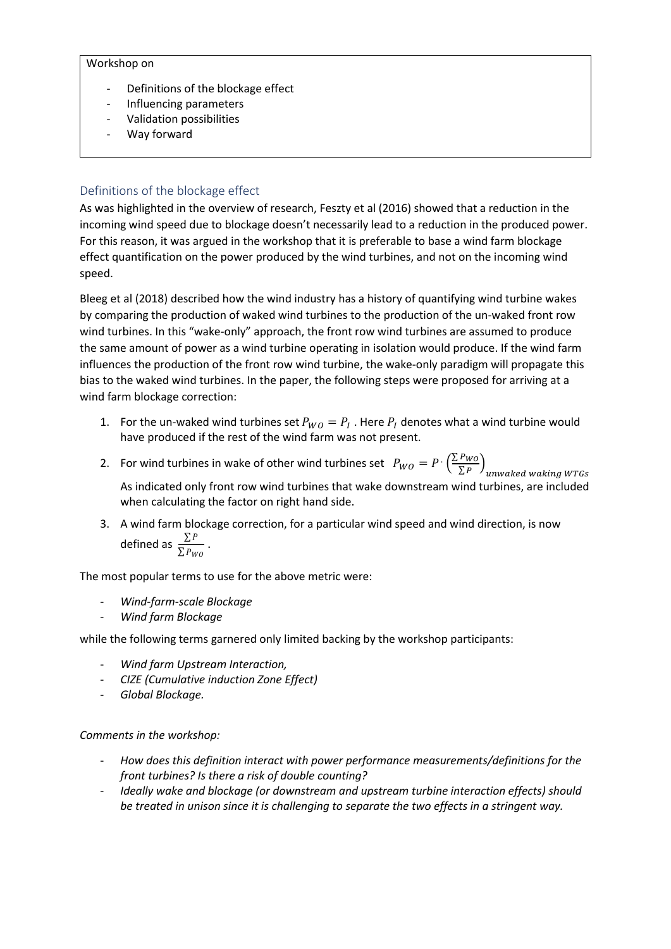#### Workshop on

- Definitions of the blockage effect
- Influencing parameters
- Validation possibilities
- Way forward

### Definitions of the blockage effect

As was highlighted in the overview of research, Feszty et al (2016) showed that a reduction in the incoming wind speed due to blockage doesn't necessarily lead to a reduction in the produced power. For this reason, it was argued in the workshop that it is preferable to base a wind farm blockage effect quantification on the power produced by the wind turbines, and not on the incoming wind speed.

Bleeg et al (2018) described how the wind industry has a history of quantifying wind turbine wakes by comparing the production of waked wind turbines to the production of the un-waked front row wind turbines. In this "wake-only" approach, the front row wind turbines are assumed to produce the same amount of power as a wind turbine operating in isolation would produce. If the wind farm influences the production of the front row wind turbine, the wake-only paradigm will propagate this bias to the waked wind turbines. In the paper, the following steps were proposed for arriving at a wind farm blockage correction:

- 1. For the un-waked wind turbines set  $P_{WO} = P_I$ . Here  $P_I$  denotes what a wind turbine would have produced if the rest of the wind farm was not present.
- 2. For wind turbines in wake of other wind turbines set  $P_{WO} = P \cdot \left(\frac{\sum P_{WO}}{\sum P}\right)$  $\left(\frac{FWO}{\Sigma\,P}\right)_{unwaked\, waking\,WTGs}$

As indicated only front row wind turbines that wake downstream wind turbines, are included when calculating the factor on right hand side.

3. A wind farm blockage correction, for a particular wind speed and wind direction, is now defined as  $\frac{\sum P}{\sum P_{WO}}$  .

The most popular terms to use for the above metric were:

- *Wind-farm-scale Blockage*
- *Wind farm Blockage*

while the following terms garnered only limited backing by the workshop participants:

- *Wind farm Upstream Interaction,*
- *CIZE (Cumulative induction Zone Effect)*
- *Global Blockage.*

#### *Comments in the workshop:*

- *How does this definition interact with power performance measurements/definitions for the front turbines? Is there a risk of double counting?*
- *Ideally wake and blockage (or downstream and upstream turbine interaction effects) should be treated in unison since it is challenging to separate the two effects in a stringent way.*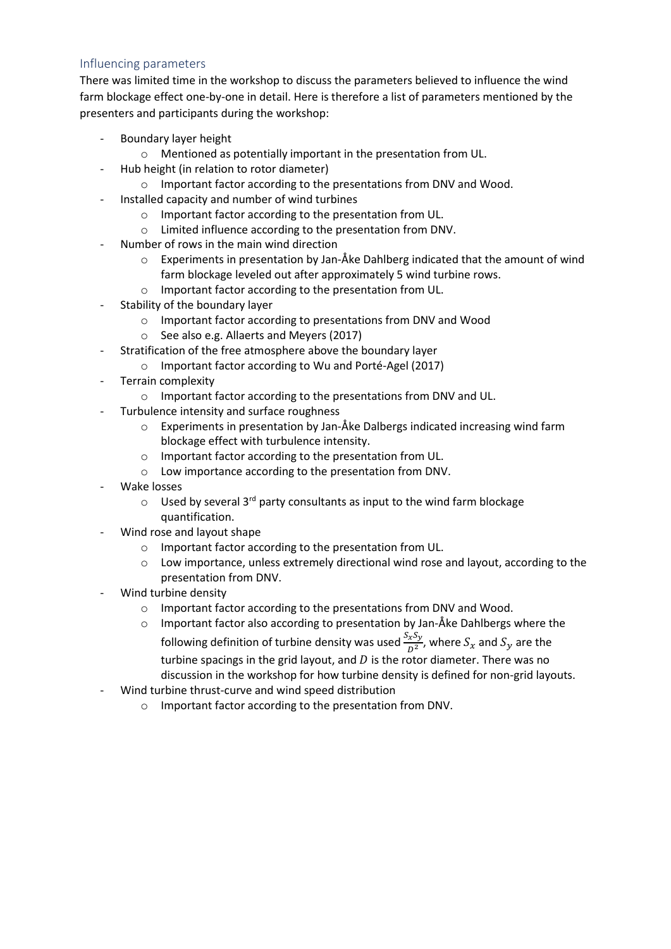### Influencing parameters

There was limited time in the workshop to discuss the parameters believed to influence the wind farm blockage effect one-by-one in detail. Here is therefore a list of parameters mentioned by the presenters and participants during the workshop:

- Boundary layer height
	- o Mentioned as potentially important in the presentation from UL.
- Hub height (in relation to rotor diameter)
	- o Important factor according to the presentations from DNV and Wood.
- Installed capacity and number of wind turbines
	- o Important factor according to the presentation from UL.
	- o Limited influence according to the presentation from DNV.
- Number of rows in the main wind direction
	- o Experiments in presentation by Jan-Åke Dahlberg indicated that the amount of wind farm blockage leveled out after approximately 5 wind turbine rows.
	- o Important factor according to the presentation from UL.
- Stability of the boundary layer
	- o Important factor according to presentations from DNV and Wood
	- o See also e.g. Allaerts and Meyers (2017)
	- Stratification of the free atmosphere above the boundary layer
		- o Important factor according to Wu and Porté-Agel (2017)
- Terrain complexity
	- o Important factor according to the presentations from DNV and UL.
- Turbulence intensity and surface roughness
	- $\circ$  Experiments in presentation by Jan-Åke Dalbergs indicated increasing wind farm blockage effect with turbulence intensity.
	- o Important factor according to the presentation from UL.
	- o Low importance according to the presentation from DNV.
- Wake losses
	- $\circ$  Used by several 3<sup>rd</sup> party consultants as input to the wind farm blockage quantification.
- Wind rose and layout shape
	- o Important factor according to the presentation from UL.
	- o Low importance, unless extremely directional wind rose and layout, according to the presentation from DNV.
- Wind turbine density
	- o Important factor according to the presentations from DNV and Wood.
	- o Important factor also according to presentation by Jan-Åke Dahlbergs where the following definition of turbine density was used  $\frac{S_xS_y}{D^2}$ , where  $S_x$  and  $S_y$  are the turbine spacings in the grid layout, and  $D$  is the rotor diameter. There was no discussion in the workshop for how turbine density is defined for non-grid layouts.
- Wind turbine thrust-curve and wind speed distribution
	- o Important factor according to the presentation from DNV.